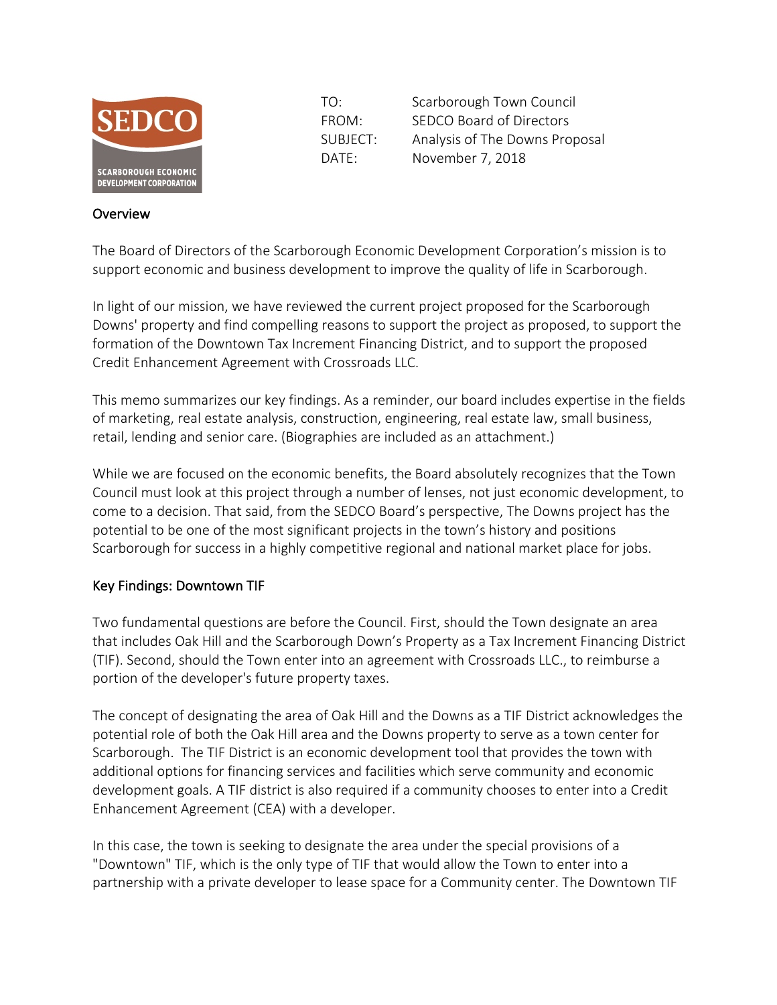

**Overview** 

TO: Scarborough Town Council FROM: SEDCO Board of Directors SUBJECT: Analysis of The Downs Proposal DATE: November 7, 2018

## The Board of Directors of the Scarborough Economic Development Corporation's mission is to support economic and business development to improve the quality of life in Scarborough.

In light of our mission, we have reviewed the current project proposed for the Scarborough Downs' property and find compelling reasons to support the project as proposed, to support the formation of the Downtown Tax Increment Financing District, and to support the proposed Credit Enhancement Agreement with Crossroads LLC.

This memo summarizes our key findings. As a reminder, our board includes expertise in the fields of marketing, real estate analysis, construction, engineering, real estate law, small business, retail, lending and senior care. (Biographies are included as an attachment.)

While we are focused on the economic benefits, the Board absolutely recognizes that the Town Council must look at this project through a number of lenses, not just economic development, to come to a decision. That said, from the SEDCO Board's perspective, The Downs project has the potential to be one of the most significant projects in the town's history and positions Scarborough for success in a highly competitive regional and national market place for jobs.

### Key Findings: Downtown TIF

Two fundamental questions are before the Council. First, should the Town designate an area that includes Oak Hill and the Scarborough Down's Property as a Tax Increment Financing District (TIF). Second, should the Town enter into an agreement with Crossroads LLC., to reimburse a portion of the developer's future property taxes.

The concept of designating the area of Oak Hill and the Downs as a TIF District acknowledges the potential role of both the Oak Hill area and the Downs property to serve as a town center for Scarborough. The TIF District is an economic development tool that provides the town with additional options for financing services and facilities which serve community and economic development goals. A TIF district is also required if a community chooses to enter into a Credit Enhancement Agreement (CEA) with a developer.

In this case, the town is seeking to designate the area under the special provisions of a "Downtown" TIF, which is the only type of TIF that would allow the Town to enter into a partnership with a private developer to lease space for a Community center. The Downtown TIF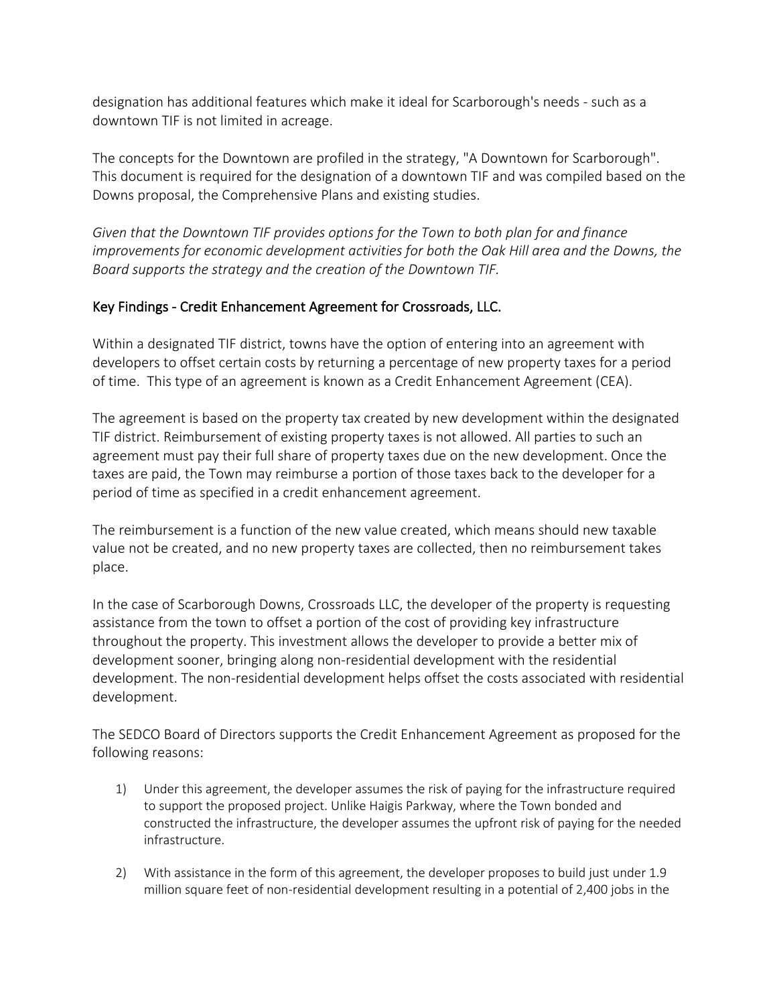designation has additional features which make it ideal for Scarborough's needs - such as a downtown TIF is not limited in acreage.

The concepts for the Downtown are profiled in the strategy, "A Downtown for Scarborough". This document is required for the designation of a downtown TIF and was compiled based on the Downs proposal, the Comprehensive Plans and existing studies.

*Given that the Downtown TIF provides options for the Town to both plan for and finance improvements for economic development activities for both the Oak Hill area and the Downs, the Board supports the strategy and the creation of the Downtown TIF.*

#### Key Findings - Credit Enhancement Agreement for Crossroads, LLC.

Within a designated TIF district, towns have the option of entering into an agreement with developers to offset certain costs by returning a percentage of new property taxes for a period of time. This type of an agreement is known as a Credit Enhancement Agreement (CEA).

The agreement is based on the property tax created by new development within the designated TIF district. Reimbursement of existing property taxes is not allowed. All parties to such an agreement must pay their full share of property taxes due on the new development. Once the taxes are paid, the Town may reimburse a portion of those taxes back to the developer for a period of time as specified in a credit enhancement agreement.

The reimbursement is a function of the new value created, which means should new taxable value not be created, and no new property taxes are collected, then no reimbursement takes place.

In the case of Scarborough Downs, Crossroads LLC, the developer of the property is requesting assistance from the town to offset a portion of the cost of providing key infrastructure throughout the property. This investment allows the developer to provide a better mix of development sooner, bringing along non-residential development with the residential development. The non-residential development helps offset the costs associated with residential development.

The SEDCO Board of Directors supports the Credit Enhancement Agreement as proposed for the following reasons:

- 1) Under this agreement, the developer assumes the risk of paying for the infrastructure required to support the proposed project. Unlike Haigis Parkway, where the Town bonded and constructed the infrastructure, the developer assumes the upfront risk of paying for the needed infrastructure.
- 2) With assistance in the form of this agreement, the developer proposes to build just under 1.9 million square feet of non-residential development resulting in a potential of 2,400 jobs in the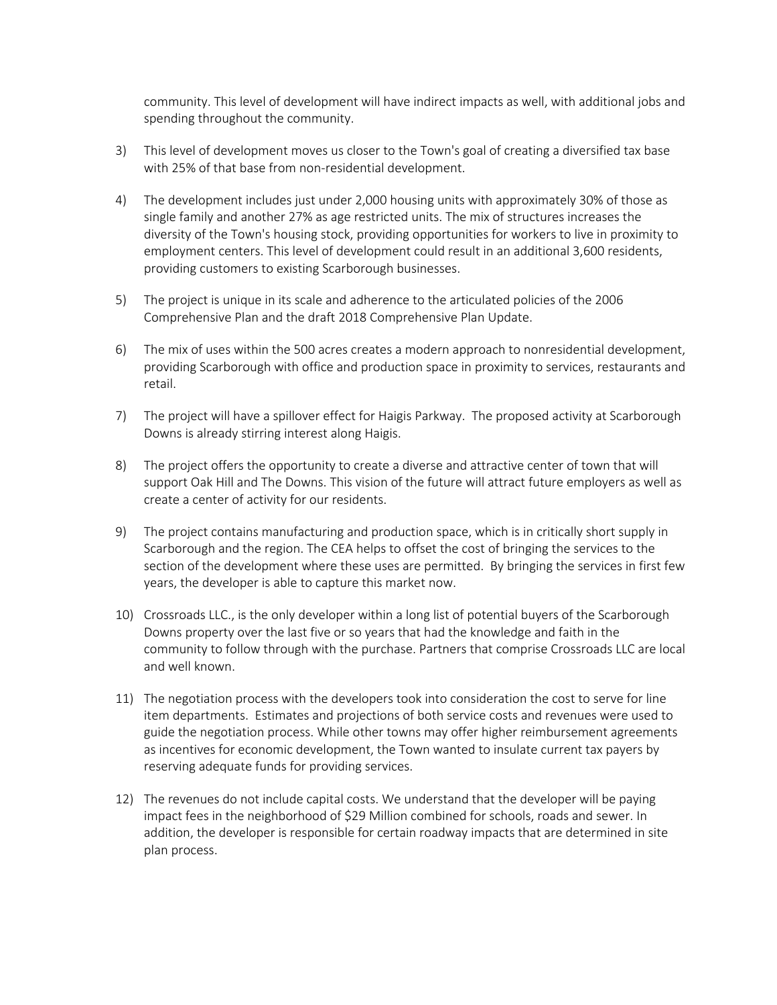community. This level of development will have indirect impacts as well, with additional jobs and spending throughout the community.

- 3) This level of development moves us closer to the Town's goal of creating a diversified tax base with 25% of that base from non-residential development.
- 4) The development includes just under 2,000 housing units with approximately 30% of those as single family and another 27% as age restricted units. The mix of structures increases the diversity of the Town's housing stock, providing opportunities for workers to live in proximity to employment centers. This level of development could result in an additional 3,600 residents, providing customers to existing Scarborough businesses.
- 5) The project is unique in its scale and adherence to the articulated policies of the 2006 Comprehensive Plan and the draft 2018 Comprehensive Plan Update.
- 6) The mix of uses within the 500 acres creates a modern approach to nonresidential development, providing Scarborough with office and production space in proximity to services, restaurants and retail.
- 7) The project will have a spillover effect for Haigis Parkway. The proposed activity at Scarborough Downs is already stirring interest along Haigis.
- 8) The project offers the opportunity to create a diverse and attractive center of town that will support Oak Hill and The Downs. This vision of the future will attract future employers as well as create a center of activity for our residents.
- 9) The project contains manufacturing and production space, which is in critically short supply in Scarborough and the region. The CEA helps to offset the cost of bringing the services to the section of the development where these uses are permitted. By bringing the services in first few years, the developer is able to capture this market now.
- 10) Crossroads LLC., is the only developer within a long list of potential buyers of the Scarborough Downs property over the last five or so years that had the knowledge and faith in the community to follow through with the purchase. Partners that comprise Crossroads LLC are local and well known.
- 11) The negotiation process with the developers took into consideration the cost to serve for line item departments. Estimates and projections of both service costs and revenues were used to guide the negotiation process. While other towns may offer higher reimbursement agreements as incentives for economic development, the Town wanted to insulate current tax payers by reserving adequate funds for providing services.
- 12) The revenues do not include capital costs. We understand that the developer will be paying impact fees in the neighborhood of \$29 Million combined for schools, roads and sewer. In addition, the developer is responsible for certain roadway impacts that are determined in site plan process.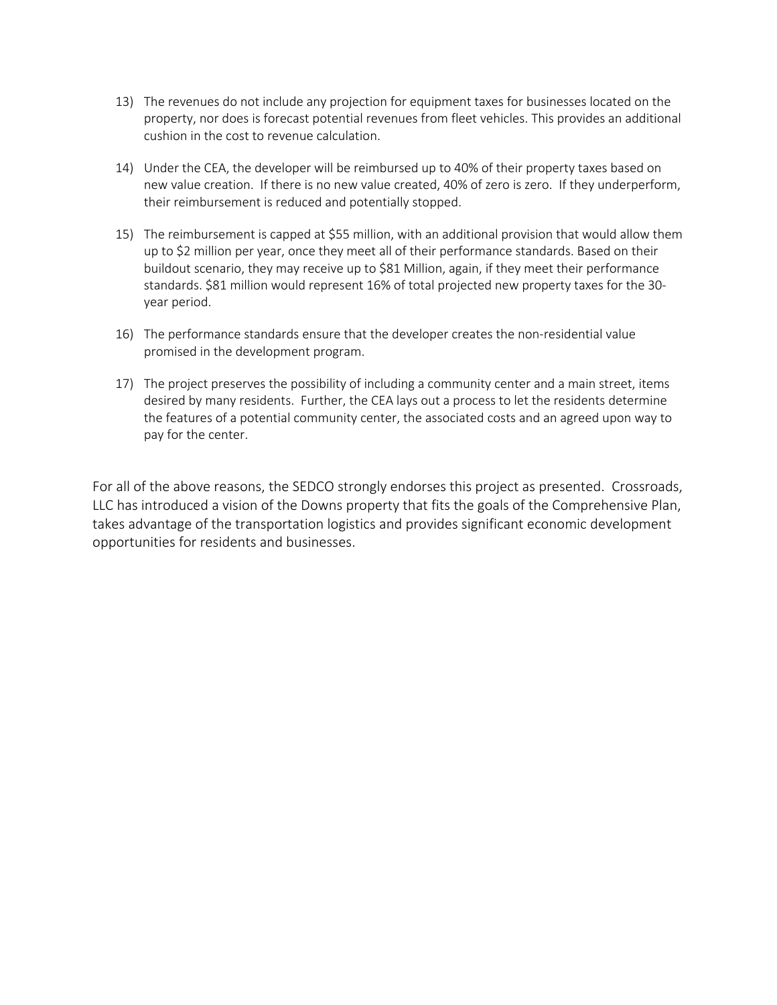- 13) The revenues do not include any projection for equipment taxes for businesses located on the property, nor does is forecast potential revenues from fleet vehicles. This provides an additional cushion in the cost to revenue calculation.
- 14) Under the CEA, the developer will be reimbursed up to 40% of their property taxes based on new value creation. If there is no new value created, 40% of zero is zero. If they underperform, their reimbursement is reduced and potentially stopped.
- 15) The reimbursement is capped at \$55 million, with an additional provision that would allow them up to \$2 million per year, once they meet all of their performance standards. Based on their buildout scenario, they may receive up to \$81 Million, again, if they meet their performance standards. \$81 million would represent 16% of total projected new property taxes for the 30 year period.
- 16) The performance standards ensure that the developer creates the non-residential value promised in the development program.
- 17) The project preserves the possibility of including a community center and a main street, items desired by many residents. Further, the CEA lays out a process to let the residents determine the features of a potential community center, the associated costs and an agreed upon way to pay for the center.

For all of the above reasons, the SEDCO strongly endorses this project as presented. Crossroads, LLC has introduced a vision of the Downs property that fits the goals of the Comprehensive Plan, takes advantage of the transportation logistics and provides significant economic development opportunities for residents and businesses.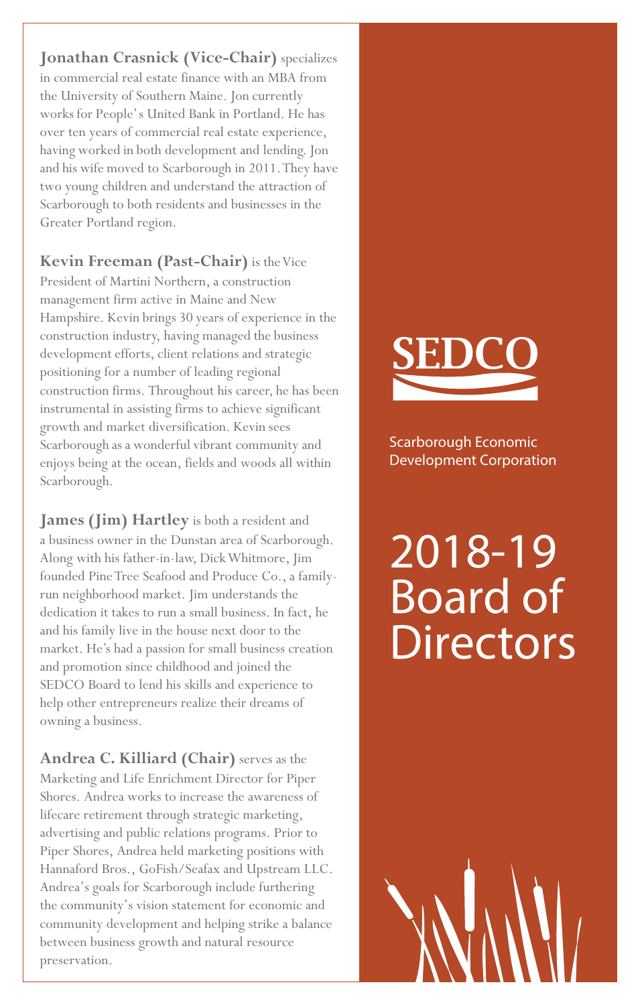**Jonathan Crasnick (Vice-Chair)** specializes in commercial real estate finance with an MBA from the University of Southern Maine. Jon currently works for People's United Bank in Portland. He has over ten years of commercial real estate experience, having worked in both development and lending. Jon and his wife moved to Scarborough in 2011. They have two young children and understand the attraction of Scarborough to both residents and businesses in the Greater Portland region.

**Kevin Freeman (Past-Chair)** is the Vice President of Martini Northern, a construction management firm active in Maine and New Hampshire. Kevin brings 30 years of experience in the construction industry, having managed the business development efforts, client relations and strategic positioning for a number of leading regional construction firms. Throughout his career, he has been instrumental in assisting firms to achieve significant growth and market diversification. Kevin sees Scarborough as a wonderful vibrant community and enjoys being at the ocean, fields and woods all within Scarborough.

**James (Jim) Hartley** is both a resident and a business owner in the Dunstan area of Scarborough. Along with his father-in-law, Dick Whitmore, Jim founded Pine Tree Seafood and Produce Co., a familyrun neighborhood market. Jim understands the dedication it takes to run a small business. In fact, he and his family live in the house next door to the market. He's had a passion for small business creation and promotion since childhood and joined the SEDCO Board to lend his skills and experience to help other entrepreneurs realize their dreams of owning a business.

**Andrea C. Killiard (Chair)** serves as the Marketing and Life Enrichment Director for Piper Shores. Andrea works to increase the awareness of lifecare retirement through strategic marketing, advertising and public relations programs. Prior to Piper Shores, Andrea held marketing positions with Hannaford Bros., GoFish/Seafax and Upstream LLC. Andrea's goals for Scarborough include furthering the community's vision statement for economic and community development and helping strike a balance between business growth and natural resource preservation.

Scarborough Economic Development Corporation

# 2018-19 Board of **Directors**